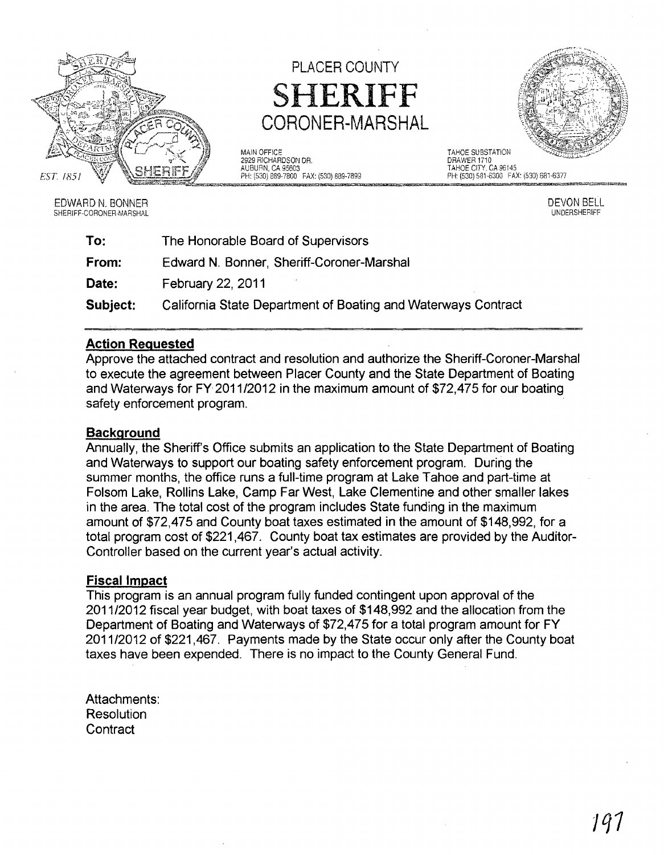

# PLACER COUNTY SHERIFF CORONER-MARSHAL

MAIN OFFICE TAHOE SUBSTATION PH: (530) 889-7800 FAX: (530) 889-7899



EDWARD N. BONNER SHERIFF-CORONER-MARSHAL DRAWER 1710 TAHOE CITY. CA 96145 PH: (530) 581-6300 FAX: (530) 681-6377

> DEVON BELL UNDERSHERIFF

| To:      | The Honorable Board of Supervisors                            |
|----------|---------------------------------------------------------------|
| From:    | Edward N. Bonner, Sheriff-Coroner-Marshal                     |
| Date:    | February 22, 2011                                             |
| Subject: | California State Department of Boating and Waterways Contract |

# Action Requested

Approve the attached contract and resolution and authorize the Sheriff-Coroner-Marshal to execute the agreement between Placer County and the State Department of Boating and Waterways for FY 2011/2012 in the maximum amount of \$72,475 for our boating safety enforcement program.

# **Background**

Annually, the Sheriff's Office submits an application to the State Department of Boating and Waterways to support our boating safety enforcement program. During the summer months, the office runs a full-time program at Lake Tahoe and part-time at Folsom Lake, Rollins Lake, Camp Far West, Lake Clementine and other smaller lakes in the area. The total cost of the program includes State funding in the maximum amount of \$72,475 and County boat taxes estimated in the amount of \$148,992, for a total program cost of \$221 ,467. County boat tax estimates are provided by the Auditor-Controller based on the current year's actual activity.

# Fiscal Impact

This program is an annual program fully funded contingent upon approval of the 2011/2012 fiscal year budget, with boat taxes of \$148,992 and the allocation from the Department of Boating and Waterways of \$72,475 for a total program amount for FY 2011/2012 of \$221,467. Payments made by the State occur only after the County boat taxes have been expended. There is no impact to the County General Fund.

Attachments: **Resolution Contract**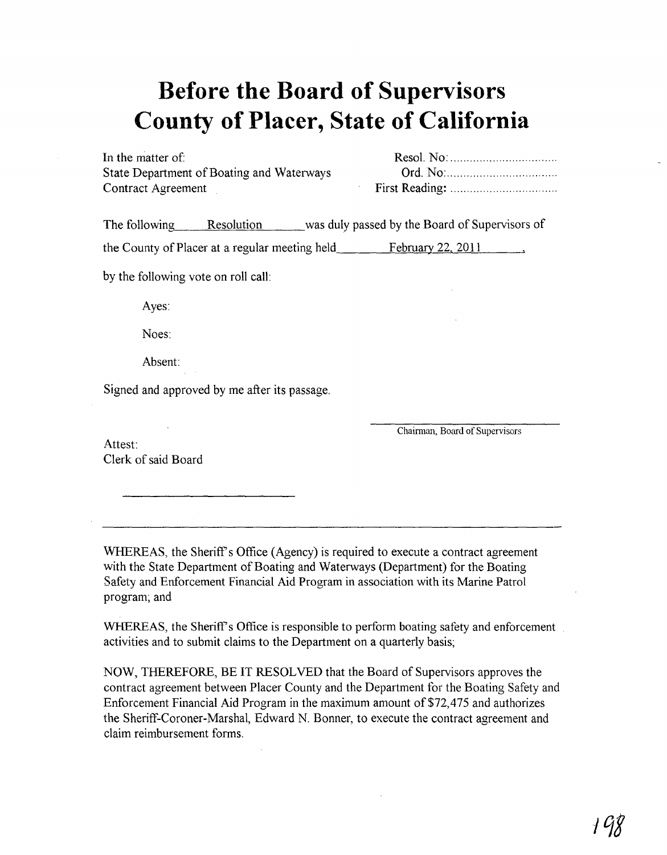# **Before the Board of Supervisors County of Placer, State of California**

In the matter of: State Department of Boating and Waterways Contract Agreement

The following Resolution was duly passed by the Board of Supervisors of

the County of Placer at a regular meeting held  $\qquad \qquad$  February 22, 2011

by the following vote on roll call:

Ayes:

Noes:

Absent:

Signed and approved by me after its passage.

Attest: Clerk of said Board Chairman, Board of Supervisors

WHEREAS, the Sheriff's Office (Agency) is required to execute a contract agreement with the State Department of Boating and Waterways (Department) for the Boating Safety and Enforcement Financial Aid Program in association with its Marine Patrol program; and

WHEREAS, the Sheriff's Office is responsible to perform boating safety and enforcement activities and to submit claims to the Department on a quarterly basis;

NOW, THEREFORE, BE IT RESOLVED that the Board of Supervisors approves the contract agreement between Placer County and the Department for the Boating Safety and Enforcement Financial Aid Program in the maximum amount of \$72,475 and authorizes the Sheriff-Coroner-Marshal, Edward N. Bonner, to execute the contract agreement and claim reimbursement forms.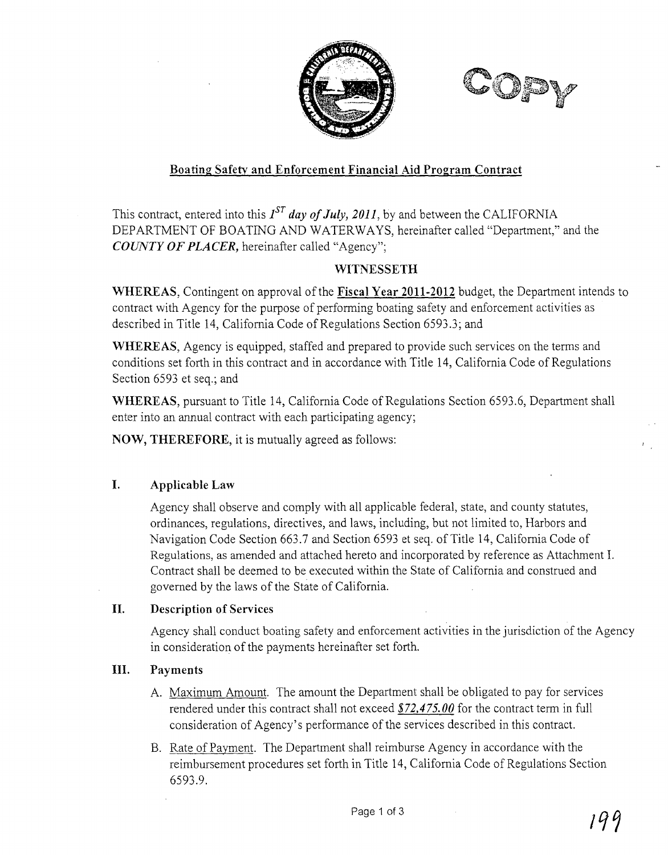



# **Boating Safety and Enforcement Financial Aid Program Contract**

This contract, entered into this  $I^{ST}$  *day of July, 2011*, by and between the CALIFORNIA DEP ARTMENT OF BOATING AND WATERWAYS, hereinafter called "Department," and the *COUNTY OF PLACER,* hereinafter called "Agency";

# **WITNESSETH**

**WHEREAS,** Contingent on approval of the **Fiscal Year 2011-2012** budget, the Department intends to contract with Agency for the purpose of performing boating safety and enforcement activities as described in Title 14, California Code of Regulations Section 6593.3; and

**WHEREAS,** Agency is equipped, staffed and prepared to provide such services on the terms and conditions set forth in this contract and in accordance with Title 14, California Code of Regulations Section 6593 et seq.; and

**WHEREAS,** pursuant to Title 14, California Code of Regulations Section 6593.6, Department shall enter into an annual contract with each participating agency;

**NOW, THEREFORE,** it is mutually agreed as follows:

# **I. Applicable Law**

Agency shall observe and comply with all applicable federal, state, and county statutes, ordinances, regulations, directives, and laws, including, but not limited to, Harbors and Navigation Code Section 663.7 and Section 6593 et seq. of Title 14, California Code of Regulations, as amended and attached hereto and incorporated by reference as Attachment 1. Contract shall be deemed to be executed within the State of California and construed and governed by the laws of the State of California.

# **II. Description of Services**

Agency shall conduct boating safety and enforcement activities in the jurisdiction of the Agency in consideration of the payments hereinafter set forth.

# **III. Payments**

- A. Maximum Amount. The amount the Department shall be obligated to pay for services rendered under this contract shall not exceed \$ **72, 4** *75.00* for the contract term in full consideration of Agency's performance of the services described in this contract.
- B. Rate of Payment. The Department shall reimburse Agency in accordance with the reimbursement procedures set forth in Title 14, California Code of Regulations Section 6593.9.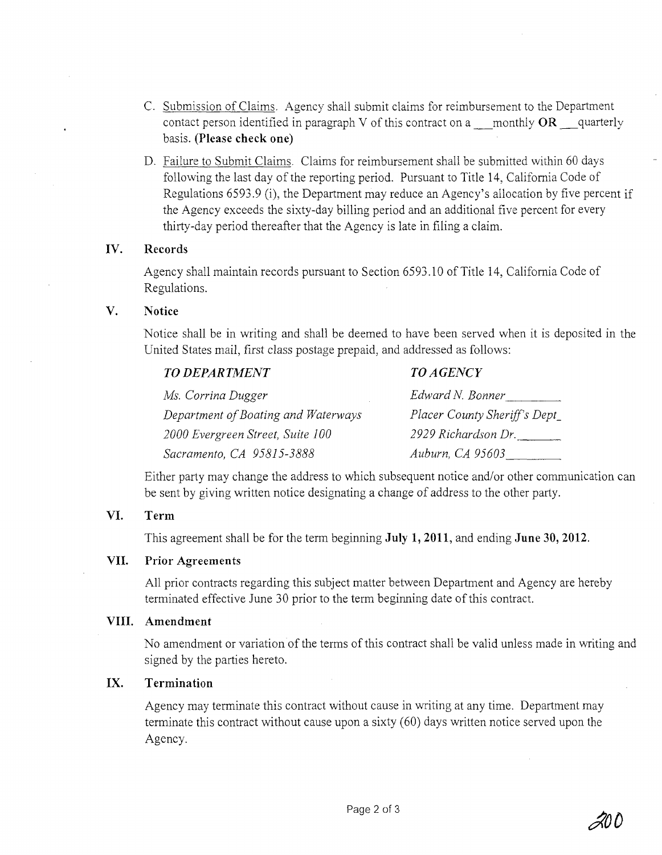- C. Submission of Claims. Agency shall submit claims for reimbursement to the Department contact person identified in paragraph V of this contract on a \_monthly OR \_quarterly basis. **(Please check one)**
- D. Failure to Submit Claims. Claims for reimbursement shall be submitted within 60 days following the last day of the reporting period. Pursuant to Title 14, California Code of Regulations 6593.9 (i), the Department may reduce an Agency's allocation by five percent if the Agency exceeds the sixty-day billing period and an additional five percent for every thirty-day period thereafter that the Agency is late in filing a claim.

#### **IV. Records**

Agency shall maintain records pursuant to Section 6593.10 of Title 14, California Code of Regulations.

#### **V. Notice**

Notice shall be in writing and shall be deemed to have been served when it is deposited in the United States mail, first class postage prepaid, and addressed as follows:

| <b>TO DEPARTMENT</b>                | <b>TO AGENCY</b>             |
|-------------------------------------|------------------------------|
| Ms. Corrina Dugger                  | Edward N. Bonner             |
| Department of Boating and Waterways | Placer County Sheriff's Dept |
| 2000 Evergreen Street, Suite 100    | 2929 Richardson Dr.          |
| Sacramento, CA 95815-3888           | Auburn, CA 95603             |

Either party may change the address to which subsequent notice and/or other communication can be sent by giving written notice designating a change of address to the other party.

#### **VI. Term**

This agreement shall be for the term beginning **July 1,2011,** and ending **June 30, 2012.** 

#### **VII. Prior Agreements**

All prior contracts regarding this subject matter between Department and Agency are hereby terminated effective June 30 prior to the term beginning date of this contract.

#### **VIII. Amendment**

No amendment or variation of the terms of this contract shall be valid unless made in writing and signed by the parties hereto.

### **IX. Termination**

Agency may terminate this contract without cause in writing at any time. Department may terminate this contract without cause upon a sixty (60) days written notice served upon the Agency.

 $\mathscr{A}\!\textit{U}\,\textit{U}$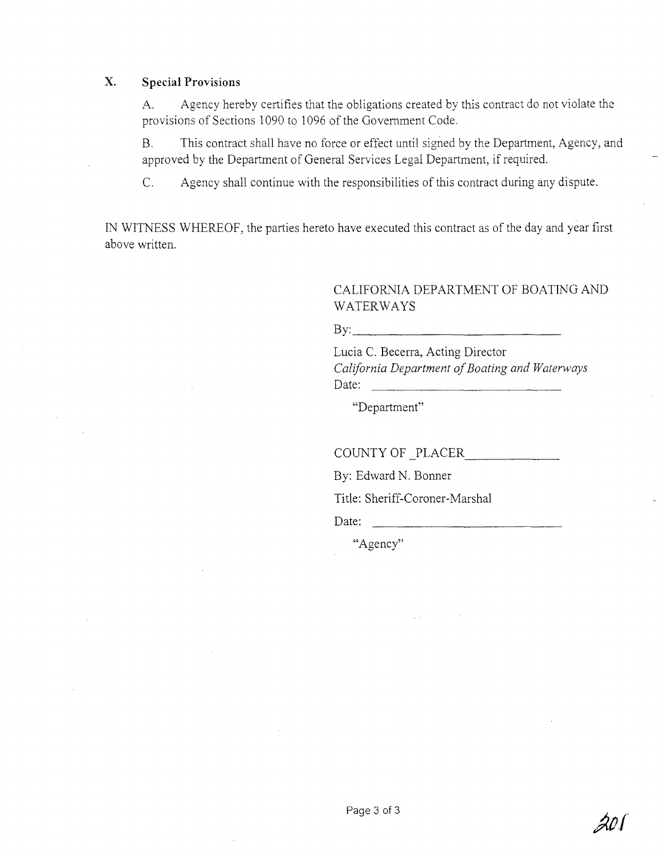#### **x. Special Provisions**

A. Agency hereby certifies that the obligations created by this contract do not violate the provisions of Sections 1090 to 1096 of the Government Code.

B. This contract shall have no force or effect until signed by the Department, Agency, and approved by the Department of General Services Legal Department, if required.

C. Agency shall continue with the responsibilities of this contract during any dispute.

IN WITNESS WHEREOF, the parties hereto have executed this contract as of the day and year first above written.

# CALIFORNIA DEPARTMENT OF BOATING AND WATERWAYS

 $\mathbf{By:}$ 

Lucia C. Becerra, Acting Director *California Department of Boating and Waterways*  Date:  $\frac{1}{\sqrt{1-\frac{1}{2}} \cdot \frac{1}{\sqrt{1-\frac{1}{2}} \cdot \frac{1}{2}} \cdot \frac{1}{\sqrt{1-\frac{1}{2}} \cdot \frac{1}{2}}$ 

"Department"

COUNTY OF PLACER

By: Edward N. Bonner

Title: Sheriff-Coroner-Marshal

Date:

"Agency"

201